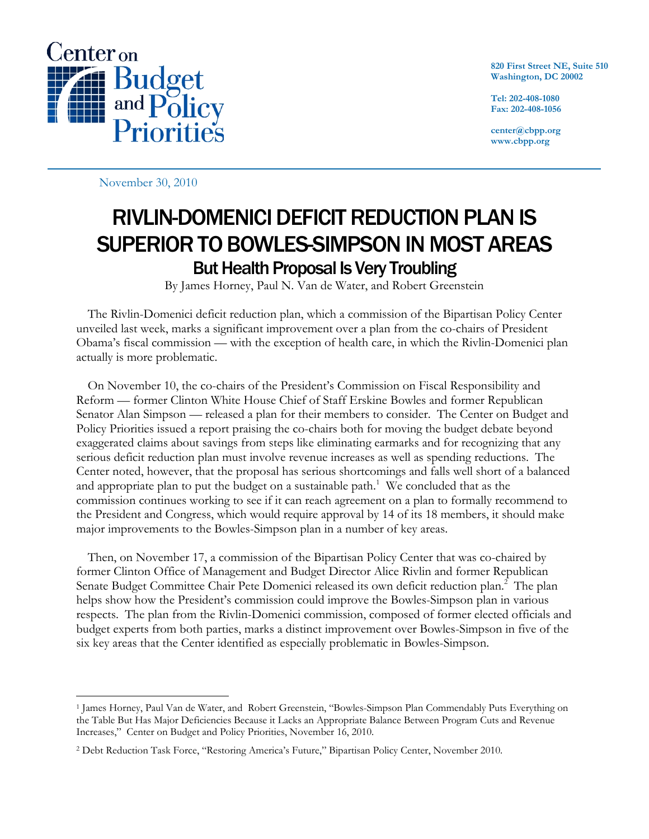

**820 First Street NE, Suite 510 Washington, DC 20002** 

**Tel: 202-408-1080 Fax: 202-408-1056** 

**center@cbpp.org www.cbpp.org** 

November 30, 2010

-

## RIVLIN-DOMENICI DEFICIT REDUCTION PLAN IS SUPERIOR TO BOWLES-SIMPSON IN MOST AREAS But Health Proposal Is Very Troubling

By James Horney, Paul N. Van de Water, and Robert Greenstein

 The Rivlin-Domenici deficit reduction plan, which a commission of the Bipartisan Policy Center unveiled last week, marks a significant improvement over a plan from the co-chairs of President Obama's fiscal commission — with the exception of health care, in which the Rivlin-Domenici plan actually is more problematic.

On November 10, the co-chairs of the President's Commission on Fiscal Responsibility and Reform — former Clinton White House Chief of Staff Erskine Bowles and former Republican Senator Alan Simpson — released a plan for their members to consider. The Center on Budget and Policy Priorities issued a report praising the co-chairs both for moving the budget debate beyond exaggerated claims about savings from steps like eliminating earmarks and for recognizing that any serious deficit reduction plan must involve revenue increases as well as spending reductions. The Center noted, however, that the proposal has serious shortcomings and falls well short of a balanced and appropriate plan to put the budget on a sustainable path.<sup>1</sup> We concluded that as the commission continues working to see if it can reach agreement on a plan to formally recommend to the President and Congress, which would require approval by 14 of its 18 members, it should make major improvements to the Bowles-Simpson plan in a number of key areas.

 Then, on November 17, a commission of the Bipartisan Policy Center that was co-chaired by former Clinton Office of Management and Budget Director Alice Rivlin and former Republican Senate Budget Committee Chair Pete Domenici released its own deficit reduction plan.<sup>2</sup> The plan helps show how the President's commission could improve the Bowles-Simpson plan in various respects. The plan from the Rivlin-Domenici commission, composed of former elected officials and budget experts from both parties, marks a distinct improvement over Bowles-Simpson in five of the six key areas that the Center identified as especially problematic in Bowles-Simpson.

<sup>1</sup> James Horney, Paul Van de Water, and Robert Greenstein, "Bowles-Simpson Plan Commendably Puts Everything on the Table But Has Major Deficiencies Because it Lacks an Appropriate Balance Between Program Cuts and Revenue Increases," Center on Budget and Policy Priorities, November 16, 2010.

<sup>2</sup> Debt Reduction Task Force, "Restoring America's Future," Bipartisan Policy Center, November 2010.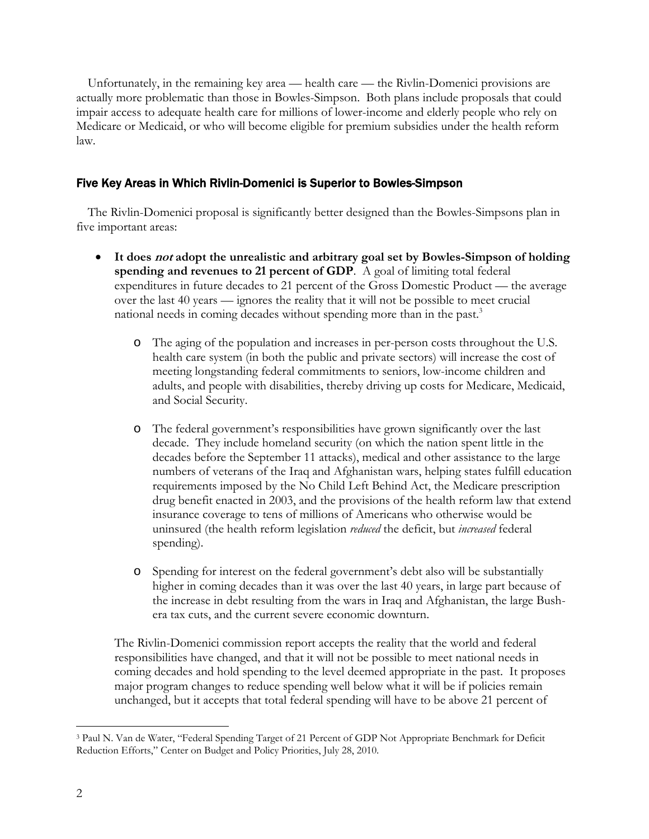Unfortunately, in the remaining key area — health care — the Rivlin-Domenici provisions are actually more problematic than those in Bowles-Simpson. Both plans include proposals that could impair access to adequate health care for millions of lower-income and elderly people who rely on Medicare or Medicaid, or who will become eligible for premium subsidies under the health reform law.

## Five Key Areas in Which Rivlin-Domenici is Superior to Bowles-Simpson

 The Rivlin-Domenici proposal is significantly better designed than the Bowles-Simpsons plan in five important areas:

- **It does not adopt the unrealistic and arbitrary goal set by Bowles-Simpson of holding spending and revenues to 21 percent of GDP**. A goal of limiting total federal expenditures in future decades to 21 percent of the Gross Domestic Product — the average over the last 40 years — ignores the reality that it will not be possible to meet crucial national needs in coming decades without spending more than in the past.<sup>3</sup>
	- o The aging of the population and increases in per-person costs throughout the U.S. health care system (in both the public and private sectors) will increase the cost of meeting longstanding federal commitments to seniors, low-income children and adults, and people with disabilities, thereby driving up costs for Medicare, Medicaid, and Social Security.
	- o The federal government's responsibilities have grown significantly over the last decade. They include homeland security (on which the nation spent little in the decades before the September 11 attacks), medical and other assistance to the large numbers of veterans of the Iraq and Afghanistan wars, helping states fulfill education requirements imposed by the No Child Left Behind Act, the Medicare prescription drug benefit enacted in 2003, and the provisions of the health reform law that extend insurance coverage to tens of millions of Americans who otherwise would be uninsured (the health reform legislation *reduced* the deficit, but *increased* federal spending).
	- o Spending for interest on the federal government's debt also will be substantially higher in coming decades than it was over the last 40 years, in large part because of the increase in debt resulting from the wars in Iraq and Afghanistan, the large Bushera tax cuts, and the current severe economic downturn.

The Rivlin-Domenici commission report accepts the reality that the world and federal responsibilities have changed, and that it will not be possible to meet national needs in coming decades and hold spending to the level deemed appropriate in the past. It proposes major program changes to reduce spending well below what it will be if policies remain unchanged, but it accepts that total federal spending will have to be above 21 percent of

 $\overline{a}$ 3 Paul N. Van de Water, "Federal Spending Target of 21 Percent of GDP Not Appropriate Benchmark for Deficit Reduction Efforts," Center on Budget and Policy Priorities, July 28, 2010.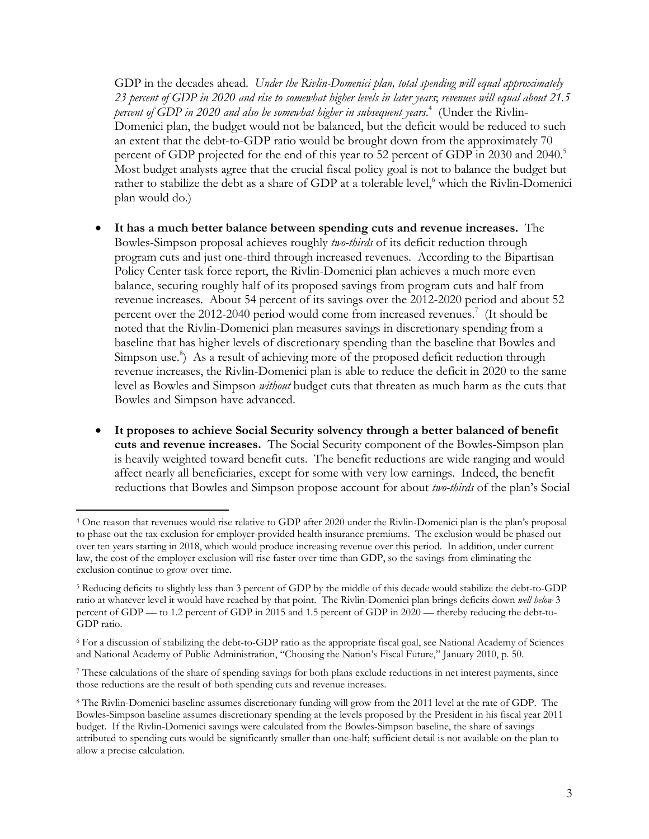GDP in the decades ahead. *Under the Rivlin-Domenici plan, total spending will equal approximately 23 percent of GDP in 2020 and rise to somewhat higher levels in later years*; *revenues will equal about 21.5 percent of GDP in 2020 and also be somewhat higher in subsequent years*. 4 (Under the Rivlin-Domenici plan, the budget would not be balanced, but the deficit would be reduced to such an extent that the debt-to-GDP ratio would be brought down from the approximately 70 percent of GDP projected for the end of this year to 52 percent of GDP in 2030 and 2040.<sup>5</sup> Most budget analysts agree that the crucial fiscal policy goal is not to balance the budget but rather to stabilize the debt as a share of GDP at a tolerable level,<sup>6</sup> which the Rivlin-Domenici plan would do.)

- **It has a much better balance between spending cuts and revenue increases.** The Bowles-Simpson proposal achieves roughly *two-thirds* of its deficit reduction through program cuts and just one-third through increased revenues. According to the Bipartisan Policy Center task force report, the Rivlin-Domenici plan achieves a much more even balance, securing roughly half of its proposed savings from program cuts and half from revenue increases. About 54 percent of its savings over the 2012-2020 period and about 52 percent over the 2012-2040 period would come from increased revenues.<sup>7</sup> (It should be noted that the Rivlin-Domenici plan measures savings in discretionary spending from a baseline that has higher levels of discretionary spending than the baseline that Bowles and Simpson use.<sup>8</sup>) As a result of achieving more of the proposed deficit reduction through revenue increases, the Rivlin-Domenici plan is able to reduce the deficit in 2020 to the same level as Bowles and Simpson *without* budget cuts that threaten as much harm as the cuts that Bowles and Simpson have advanced.
- **It proposes to achieve Social Security solvency through a better balanced of benefit cuts and revenue increases.** The Social Security component of the Bowles-Simpson plan is heavily weighted toward benefit cuts. The benefit reductions are wide ranging and would affect nearly all beneficiaries, except for some with very low earnings. Indeed, the benefit reductions that Bowles and Simpson propose account for about *two-thirds* of the plan's Social

-

<sup>4</sup> One reason that revenues would rise relative to GDP after 2020 under the Rivlin-Domenici plan is the plan's proposal to phase out the tax exclusion for employer-provided health insurance premiums. The exclusion would be phased out over ten years starting in 2018, which would produce increasing revenue over this period. In addition, under current law, the cost of the employer exclusion will rise faster over time than GDP, so the savings from eliminating the exclusion continue to grow over time.

<sup>5</sup> Reducing deficits to slightly less than 3 percent of GDP by the middle of this decade would stabilize the debt-to-GDP ratio at whatever level it would have reached by that point. The Rivlin-Domenici plan brings deficits down *well below* 3 percent of GDP — to 1.2 percent of GDP in 2015 and 1.5 percent of GDP in 2020 — thereby reducing the debt-to-GDP ratio.

<sup>6</sup> For a discussion of stabilizing the debt-to-GDP ratio as the appropriate fiscal goal, see National Academy of Sciences and National Academy of Public Administration, "Choosing the Nation's Fiscal Future," January 2010, p. 50.

<sup>7</sup> These calculations of the share of spending savings for both plans exclude reductions in net interest payments, since those reductions are the result of both spending cuts and revenue increases.

<sup>8</sup> The Rivlin-Domenici baseline assumes discretionary funding will grow from the 2011 level at the rate of GDP. The Bowles-Simpson baseline assumes discretionary spending at the levels proposed by the President in his fiscal year 2011 budget. If the Rivlin-Domenici savings were calculated from the Bowles-Simpson baseline, the share of savings attributed to spending cuts would be significantly smaller than one-half; sufficient detail is not available on the plan to allow a precise calculation.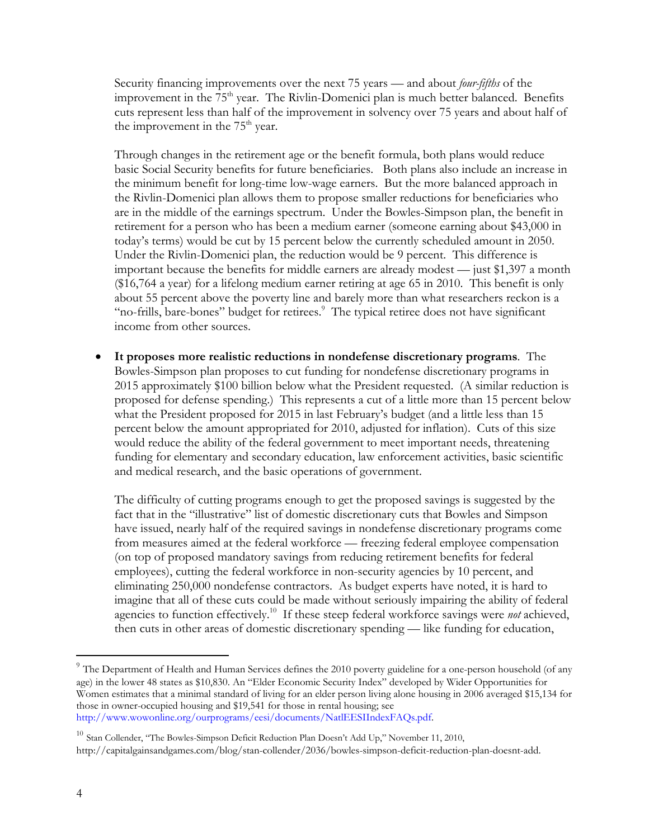Security financing improvements over the next 75 years — and about *four-fifths* of the improvement in the  $75<sup>th</sup>$  year. The Rivlin-Domenici plan is much better balanced. Benefits cuts represent less than half of the improvement in solvency over 75 years and about half of the improvement in the  $75<sup>th</sup>$  year.

Through changes in the retirement age or the benefit formula, both plans would reduce basic Social Security benefits for future beneficiaries. Both plans also include an increase in the minimum benefit for long-time low-wage earners. But the more balanced approach in the Rivlin-Domenici plan allows them to propose smaller reductions for beneficiaries who are in the middle of the earnings spectrum. Under the Bowles-Simpson plan, the benefit in retirement for a person who has been a medium earner (someone earning about \$43,000 in today's terms) would be cut by 15 percent below the currently scheduled amount in 2050. Under the Rivlin-Domenici plan, the reduction would be 9 percent. This difference is important because the benefits for middle earners are already modest — just \$1,397 a month (\$16,764 a year) for a lifelong medium earner retiring at age 65 in 2010. This benefit is only about 55 percent above the poverty line and barely more than what researchers reckon is a "no-frills, bare-bones" budget for retirees.<sup>9</sup> The typical retiree does not have significant income from other sources.

 **It proposes more realistic reductions in nondefense discretionary programs**. The Bowles-Simpson plan proposes to cut funding for nondefense discretionary programs in 2015 approximately \$100 billion below what the President requested. (A similar reduction is proposed for defense spending.) This represents a cut of a little more than 15 percent below what the President proposed for 2015 in last February's budget (and a little less than 15 percent below the amount appropriated for 2010, adjusted for inflation). Cuts of this size would reduce the ability of the federal government to meet important needs, threatening funding for elementary and secondary education, law enforcement activities, basic scientific and medical research, and the basic operations of government.

The difficulty of cutting programs enough to get the proposed savings is suggested by the fact that in the "illustrative" list of domestic discretionary cuts that Bowles and Simpson have issued, nearly half of the required savings in nondefense discretionary programs come from measures aimed at the federal workforce — freezing federal employee compensation (on top of proposed mandatory savings from reducing retirement benefits for federal employees), cutting the federal workforce in non-security agencies by 10 percent, and eliminating 250,000 nondefense contractors. As budget experts have noted, it is hard to imagine that all of these cuts could be made without seriously impairing the ability of federal agencies to function effectively.10 If these steep federal workforce savings were *not* achieved, then cuts in other areas of domestic discretionary spending — like funding for education,

 $\overline{a}$ 

 $9$  The Department of Health and Human Services defines the 2010 poverty guideline for a one-person household (of any age) in the lower 48 states as \$10,830. An "Elder Economic Security Index" developed by Wider Opportunities for Women estimates that a minimal standard of living for an elder person living alone housing in 2006 averaged \$15,134 for those in owner-occupied housing and \$19,541 for those in rental housing; see http://www.wowonline.org/ourprograms/eesi/documents/NatlEESIIndexFAQs.pdf.

<sup>&</sup>lt;sup>10</sup> Stan Collender, "The Bowles-Simpson Deficit Reduction Plan Doesn't Add Up," November 11, 2010, http://capitalgainsandgames.com/blog/stan-collender/2036/bowles-simpson-deficit-reduction-plan-doesnt-add.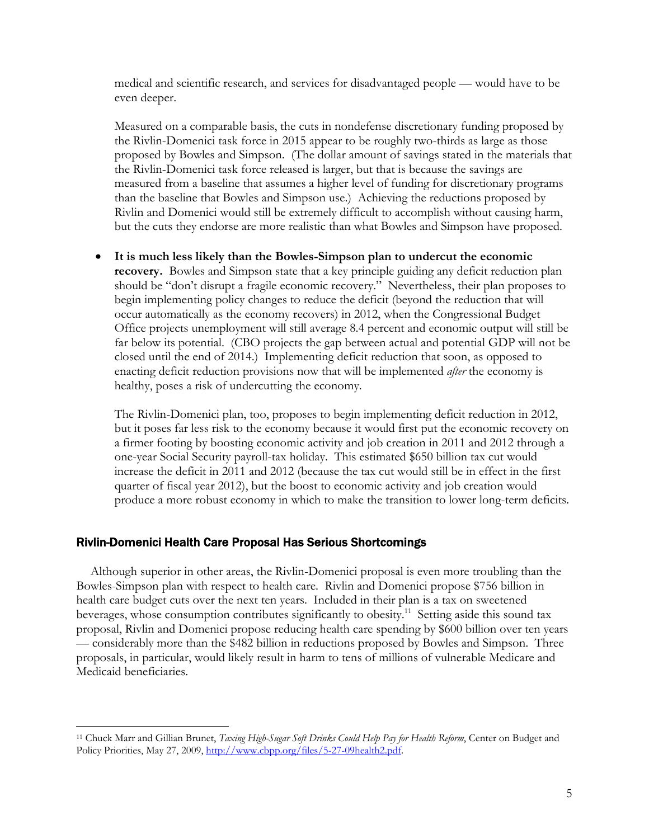medical and scientific research, and services for disadvantaged people — would have to be even deeper.

Measured on a comparable basis, the cuts in nondefense discretionary funding proposed by the Rivlin-Domenici task force in 2015 appear to be roughly two-thirds as large as those proposed by Bowles and Simpson. (The dollar amount of savings stated in the materials that the Rivlin-Domenici task force released is larger, but that is because the savings are measured from a baseline that assumes a higher level of funding for discretionary programs than the baseline that Bowles and Simpson use.) Achieving the reductions proposed by Rivlin and Domenici would still be extremely difficult to accomplish without causing harm, but the cuts they endorse are more realistic than what Bowles and Simpson have proposed.

 **It is much less likely than the Bowles-Simpson plan to undercut the economic recovery.** Bowles and Simpson state that a key principle guiding any deficit reduction plan should be "don't disrupt a fragile economic recovery." Nevertheless, their plan proposes to begin implementing policy changes to reduce the deficit (beyond the reduction that will occur automatically as the economy recovers) in 2012, when the Congressional Budget Office projects unemployment will still average 8.4 percent and economic output will still be far below its potential. (CBO projects the gap between actual and potential GDP will not be closed until the end of 2014.) Implementing deficit reduction that soon, as opposed to enacting deficit reduction provisions now that will be implemented *after* the economy is healthy, poses a risk of undercutting the economy.

The Rivlin-Domenici plan, too, proposes to begin implementing deficit reduction in 2012, but it poses far less risk to the economy because it would first put the economic recovery on a firmer footing by boosting economic activity and job creation in 2011 and 2012 through a one-year Social Security payroll-tax holiday. This estimated \$650 billion tax cut would increase the deficit in 2011 and 2012 (because the tax cut would still be in effect in the first quarter of fiscal year 2012), but the boost to economic activity and job creation would produce a more robust economy in which to make the transition to lower long-term deficits.

## Rivlin-Domenici Health Care Proposal Has Serious Shortcomings

 $\overline{a}$ 

Although superior in other areas, the Rivlin-Domenici proposal is even more troubling than the Bowles-Simpson plan with respect to health care. Rivlin and Domenici propose \$756 billion in health care budget cuts over the next ten years. Included in their plan is a tax on sweetened beverages, whose consumption contributes significantly to obesity.<sup>11</sup> Setting aside this sound tax proposal, Rivlin and Domenici propose reducing health care spending by \$600 billion over ten years — considerably more than the \$482 billion in reductions proposed by Bowles and Simpson. Three proposals, in particular, would likely result in harm to tens of millions of vulnerable Medicare and Medicaid beneficiaries.

<sup>11</sup> Chuck Marr and Gillian Brunet, *Taxing High-Sugar Soft Drinks Could Help Pay for Health Reform*, Center on Budget and Policy Priorities, May 27, 2009, http://www.cbpp.org/files/5-27-09health2.pdf.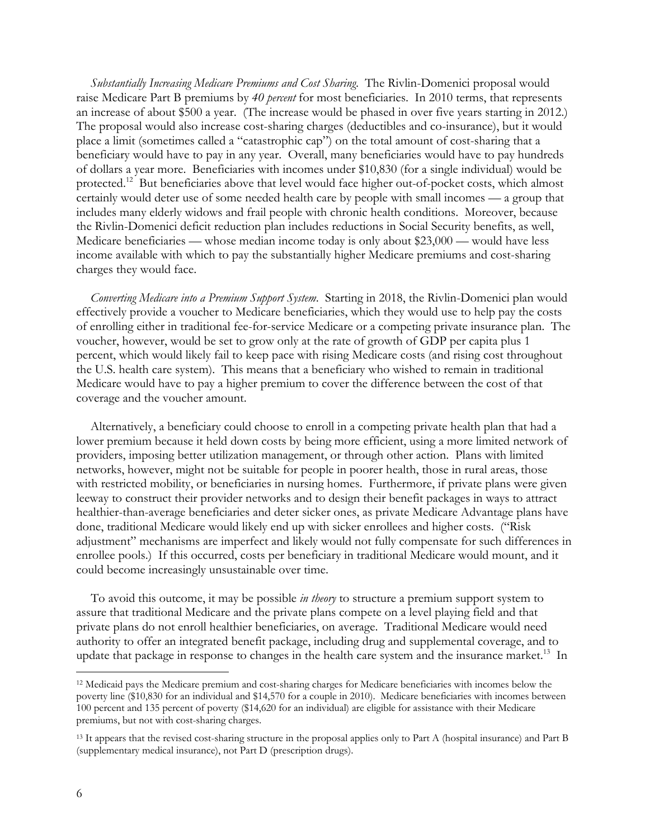*Substantially Increasing Medicare Premiums and Cost Sharing*. The Rivlin-Domenici proposal would raise Medicare Part B premiums by *40 percent* for most beneficiaries. In 2010 terms, that represents an increase of about \$500 a year. (The increase would be phased in over five years starting in 2012.) The proposal would also increase cost-sharing charges (deductibles and co-insurance), but it would place a limit (sometimes called a "catastrophic cap") on the total amount of cost-sharing that a beneficiary would have to pay in any year. Overall, many beneficiaries would have to pay hundreds of dollars a year more. Beneficiaries with incomes under \$10,830 (for a single individual) would be protected.<sup>12</sup> But beneficiaries above that level would face higher out-of-pocket costs, which almost certainly would deter use of some needed health care by people with small incomes — a group that includes many elderly widows and frail people with chronic health conditions. Moreover, because the Rivlin-Domenici deficit reduction plan includes reductions in Social Security benefits, as well, Medicare beneficiaries — whose median income today is only about \$23,000 — would have less income available with which to pay the substantially higher Medicare premiums and cost-sharing charges they would face.

*Converting Medicare into a Premium Support System*. Starting in 2018, the Rivlin-Domenici plan would effectively provide a voucher to Medicare beneficiaries, which they would use to help pay the costs of enrolling either in traditional fee-for-service Medicare or a competing private insurance plan. The voucher, however, would be set to grow only at the rate of growth of GDP per capita plus 1 percent, which would likely fail to keep pace with rising Medicare costs (and rising cost throughout the U.S. health care system). This means that a beneficiary who wished to remain in traditional Medicare would have to pay a higher premium to cover the difference between the cost of that coverage and the voucher amount.

Alternatively, a beneficiary could choose to enroll in a competing private health plan that had a lower premium because it held down costs by being more efficient, using a more limited network of providers, imposing better utilization management, or through other action. Plans with limited networks, however, might not be suitable for people in poorer health, those in rural areas, those with restricted mobility, or beneficiaries in nursing homes. Furthermore, if private plans were given leeway to construct their provider networks and to design their benefit packages in ways to attract healthier-than-average beneficiaries and deter sicker ones, as private Medicare Advantage plans have done, traditional Medicare would likely end up with sicker enrollees and higher costs. ("Risk adjustment" mechanisms are imperfect and likely would not fully compensate for such differences in enrollee pools.) If this occurred, costs per beneficiary in traditional Medicare would mount, and it could become increasingly unsustainable over time.

To avoid this outcome, it may be possible *in theory* to structure a premium support system to assure that traditional Medicare and the private plans compete on a level playing field and that private plans do not enroll healthier beneficiaries, on average. Traditional Medicare would need authority to offer an integrated benefit package, including drug and supplemental coverage, and to update that package in response to changes in the health care system and the insurance market.<sup>13</sup> In

-

<sup>12</sup> Medicaid pays the Medicare premium and cost-sharing charges for Medicare beneficiaries with incomes below the poverty line (\$10,830 for an individual and \$14,570 for a couple in 2010). Medicare beneficiaries with incomes between 100 percent and 135 percent of poverty (\$14,620 for an individual) are eligible for assistance with their Medicare premiums, but not with cost-sharing charges.

<sup>&</sup>lt;sup>13</sup> It appears that the revised cost-sharing structure in the proposal applies only to Part A (hospital insurance) and Part B (supplementary medical insurance), not Part D (prescription drugs).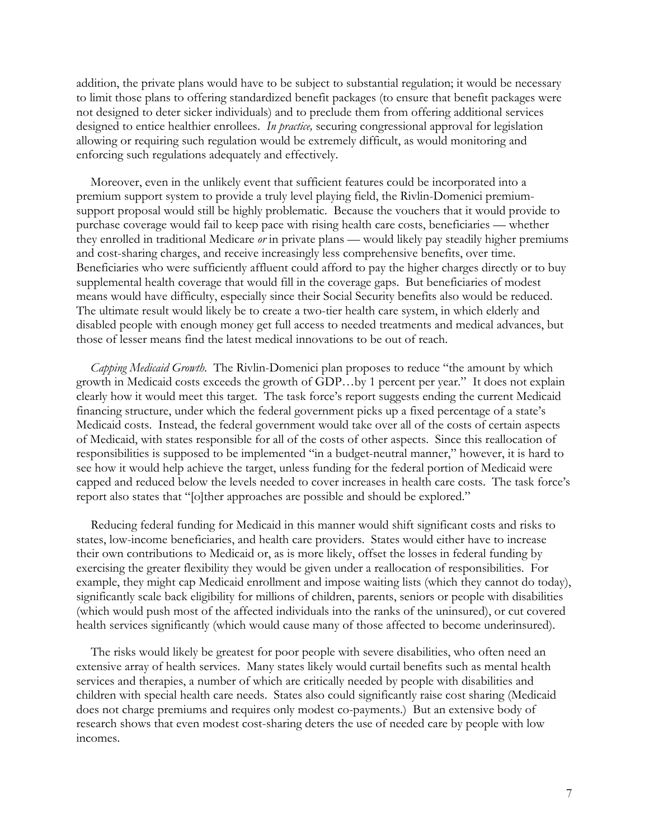addition, the private plans would have to be subject to substantial regulation; it would be necessary to limit those plans to offering standardized benefit packages (to ensure that benefit packages were not designed to deter sicker individuals) and to preclude them from offering additional services designed to entice healthier enrollees. *In practice,* securing congressional approval for legislation allowing or requiring such regulation would be extremely difficult, as would monitoring and enforcing such regulations adequately and effectively.

Moreover, even in the unlikely event that sufficient features could be incorporated into a premium support system to provide a truly level playing field, the Rivlin-Domenici premiumsupport proposal would still be highly problematic. Because the vouchers that it would provide to purchase coverage would fail to keep pace with rising health care costs, beneficiaries — whether they enrolled in traditional Medicare *or* in private plans — would likely pay steadily higher premiums and cost-sharing charges, and receive increasingly less comprehensive benefits, over time. Beneficiaries who were sufficiently affluent could afford to pay the higher charges directly or to buy supplemental health coverage that would fill in the coverage gaps. But beneficiaries of modest means would have difficulty, especially since their Social Security benefits also would be reduced. The ultimate result would likely be to create a two-tier health care system, in which elderly and disabled people with enough money get full access to needed treatments and medical advances, but those of lesser means find the latest medical innovations to be out of reach.

*Capping Medicaid Growth*. The Rivlin-Domenici plan proposes to reduce "the amount by which growth in Medicaid costs exceeds the growth of GDP…by 1 percent per year." It does not explain clearly how it would meet this target. The task force's report suggests ending the current Medicaid financing structure, under which the federal government picks up a fixed percentage of a state's Medicaid costs. Instead, the federal government would take over all of the costs of certain aspects of Medicaid, with states responsible for all of the costs of other aspects. Since this reallocation of responsibilities is supposed to be implemented "in a budget-neutral manner," however, it is hard to see how it would help achieve the target, unless funding for the federal portion of Medicaid were capped and reduced below the levels needed to cover increases in health care costs. The task force's report also states that "[o]ther approaches are possible and should be explored."

Reducing federal funding for Medicaid in this manner would shift significant costs and risks to states, low-income beneficiaries, and health care providers. States would either have to increase their own contributions to Medicaid or, as is more likely, offset the losses in federal funding by exercising the greater flexibility they would be given under a reallocation of responsibilities. For example, they might cap Medicaid enrollment and impose waiting lists (which they cannot do today), significantly scale back eligibility for millions of children, parents, seniors or people with disabilities (which would push most of the affected individuals into the ranks of the uninsured), or cut covered health services significantly (which would cause many of those affected to become underinsured).

The risks would likely be greatest for poor people with severe disabilities, who often need an extensive array of health services. Many states likely would curtail benefits such as mental health services and therapies, a number of which are critically needed by people with disabilities and children with special health care needs. States also could significantly raise cost sharing (Medicaid does not charge premiums and requires only modest co-payments.) But an extensive body of research shows that even modest cost-sharing deters the use of needed care by people with low incomes.